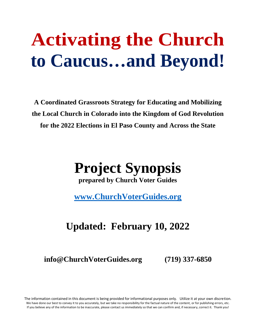# **Activating the Church to Caucus…and Beyond!**

**A Coordinated Grassroots Strategy for Educating and Mobilizing the Local Church in Colorado into the Kingdom of God Revolution for the 2022 Elections in El Paso County and Across the State**

## **Project Synopsis**

**prepared by Church Voter Guides**

**[www.ChurchVoterGuides.org](http://www.churchvoterguides.org/)**

### **Updated: February 10, 2022**

**info@ChurchVoterGuides.org (719) 337-6850**

The information contained in this document is being provided for informational purposes only. Utilize it at your own discretion. We have done our best to convey it to you accurately, but we take no responsibility for the factual nature of the content, or for publishing errors, etc. If you believe any of the information to be inaccurate, please contact us immediately so that we can confirm and, if necessary, correct it. Thank you!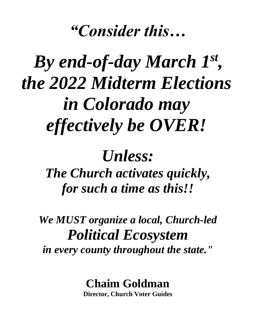## *"Consider this…*

# By end-of-day March  $I^{st}$ , *the 2022 Midterm Elections in Colorado may effectively be OVER!*

## *Unless:*

*The Church activates quickly, for such a time as this!!*

*We MUST organize a local, Church-led Political Ecosystem in every county throughout the state."*

### **Chaim Goldman**

**Director, Church Voter Guides**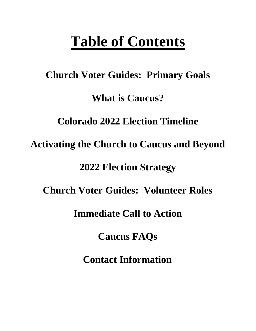## **Table of Contents**

# **Church Voter Guides: Primary Goals What is Caucus? Colorado 2022 Election Timeline Activating the Church to Caucus and Beyond 2022 Election Strategy Church Voter Guides: Volunteer Roles Immediate Call to Action**

**Caucus FAQs**

**Contact Information**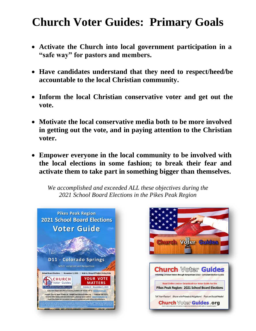### **Church Voter Guides: Primary Goals**

- **Activate the Church into local government participation in a "safe way" for pastors and members.**
- **Have candidates understand that they need to respect/heed/be accountable to the local Christian community.**
- **Inform the local Christian conservative voter and get out the vote.**
- **Motivate the local conservative media both to be more involved in getting out the vote, and in paying attention to the Christian voter.**
- **Empower everyone in the local community to be involved with the local elections in some fashion; to break their fear and activate them to take part in something bigger than themselves.**

*We accomplished and exceeded ALL these objectives during the 2021 School Board Elections in the Pikes Peak Region*



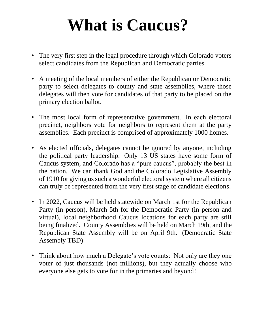# **What is Caucus?**

- The very first step in the legal procedure through which Colorado voters select candidates from the Republican and Democratic parties.
- A meeting of the local members of either the Republican or Democratic party to select delegates to county and state assemblies, where those delegates will then vote for candidates of that party to be placed on the primary election ballot.
- The most local form of representative government. In each electoral precinct, neighbors vote for neighbors to represent them at the party assemblies. Each precinct is comprised of approximately 1000 homes.
- As elected officials, delegates cannot be ignored by anyone, including the political party leadership. Only 13 US states have some form of Caucus system, and Colorado has a "pure caucus", probably the best in the nation. We can thank God and the Colorado Legislative Assembly of 1910 for giving us such a wonderful electoral system where all citizens can truly be represented from the very first stage of candidate elections.
- In 2022, Caucus will be held statewide on March 1st for the Republican Party (in person), March 5th for the Democratic Party (in person and virtual), local neighborhood Caucus locations for each party are still being finalized. County Assemblies will be held on March 19th, and the Republican State Assembly will be on April 9th. (Democratic State Assembly TBD)
- Think about how much a Delegate's vote counts: Not only are they one voter of just thousands (not millions), but they actually choose who everyone else gets to vote for in the primaries and beyond!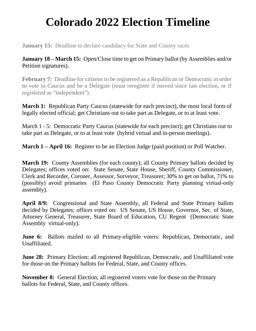### **Colorado 2022 Election Timeline**

**January 15:** Deadline to declare candidacy for State and County races

**January 18 – March 15:** Open/Close time to get on Primary ballot (by Assemblies and/or Petition signatures).

**February 7:** Deadline for citizens to be registered as a Republican or Democratic in order to vote in Caucus and be a Delegate (must reregister if moved since last election, or if registered as "independent").

**March 1:** Republican Party Caucus (statewide for each precinct), the most local form of legally elected official; get Christians out to take part as Delegate, or to at least vote.

March 1 - 5: Democratic Party Caucus (statewide for each precinct); get Christians out to take part as Delegate, or to at least vote (hybrid virtual and in-person meetings).

**March 1 – April 16:** Register to be an Election Judge (paid position) or Poll Watcher.

**March 19:** County Assemblies (for each county); all County Primary ballots decided by Delegates; offices voted on: State Senate, State House, Sheriff, County Commissioner, Clerk and Recorder, Coroner, Assessor, Surveyor, Treasurer; 30% to get on ballot, 71% to (possibly) avoid primaries (El Paso County Democratic Party planning virtual-only assembly).

**April 8/9:** Congressional and State Assembly, all Federal and State Primary ballots decided by Delegates; offices voted on: US Senate, US House, Governor, Sec. of State, Attorney General, Treasurer, State Board of Education, CU Regent (Democratic State Assembly virtual-only).

**June 6:** Ballots mailed to all Primary-eligible voters: Republican, Democratic, and Unaffiliated.

**June 28:** Primary Election; all registered Republican, Democratic, and Unaffiliated vote for those on the Primary ballots for Federal, State, and County offices.

**November 8:** General Election; all registered voters vote for those on the Primary ballots for Federal, State, and County offices.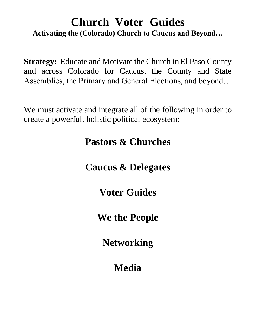### **Church Voter Guides Activating the (Colorado) Church to Caucus and Beyond…**

**Strategy:** Educate and Motivate the Church in El Paso County and across Colorado for Caucus, the County and State Assemblies, the Primary and General Elections, and beyond…

We must activate and integrate all of the following in order to create a powerful, holistic political ecosystem:

### **Pastors & Churches**

### **Caucus & Delegates**

**Voter Guides**

### **We the People**

**Networking**

### **Media**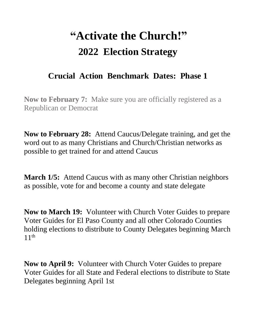## **"Activate the Church!" 2022 Election Strategy**

### **Crucial Action Benchmark Dates: Phase 1**

**Now to February 7:** Make sure you are officially registered as a Republican or Democrat

**Now to February 28:** Attend Caucus/Delegate training, and get the word out to as many Christians and Church/Christian networks as possible to get trained for and attend Caucus

**March 1/5:** Attend Caucus with as many other Christian neighbors as possible, vote for and become a county and state delegate

**Now to March 19:** Volunteer with Church Voter Guides to prepare Voter Guides for El Paso County and all other Colorado Counties holding elections to distribute to County Delegates beginning March  $11<sup>th</sup>$ 

**Now to April 9:** Volunteer with Church Voter Guides to prepare Voter Guides for all State and Federal elections to distribute to State Delegates beginning April 1st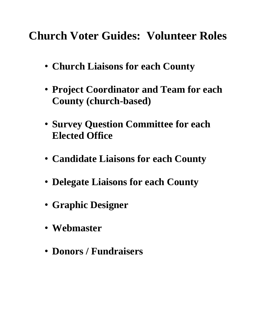**Church Voter Guides: Volunteer Roles**

- **Church Liaisons for each County**
- **Project Coordinator and Team for each County (church-based)**
- **Survey Question Committee for each Elected Office**
- **Candidate Liaisons for each County**
- **Delegate Liaisons for each County**
- **Graphic Designer**
- **Webmaster**
- **Donors / Fundraisers**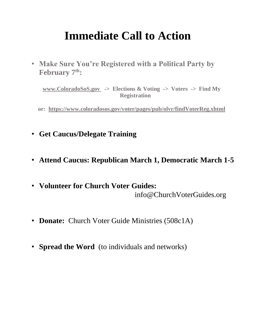### **Immediate Call to Action**

• **Make Sure You're Registered with a Political Party by February 7th:**

**[www.ColoradoSoS.gov](http://www.coloradosos.gov/) -> Elections & Voting -> Voters -> Find My Registration**

**or: <https://www.coloradosos.gov/voter/pages/pub/olvr/findVoterReg.xhtml>**

- **Get Caucus/Delegate Training**
- **Attend Caucus: Republican March 1, Democratic March 1-5**
- **Volunteer for Church Voter Guides:** info@ChurchVoterGuides.org
- **Donate:** Church Voter Guide Ministries (508c1A)
- **Spread the Word** (to individuals and networks)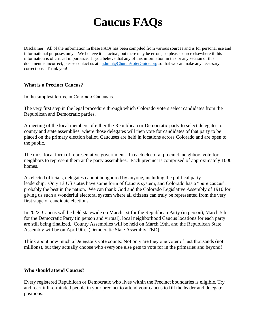### **Caucus FAQs**

Disclaimer: All of the information in these FAQs has been compiled from various sources and is for personal use and informational purposes only. We believe it is factual, but there may be errors, so please source elsewhere if this information is of critical importance. If you believe that any of this information in this or any section of this document is incorrect, please contact us at: [admin@ChurchVoterGuide.org](http://admin@churchvoterguide.org/) so that we can make any necessary corrections. Thank you!

#### **What is a Precinct Caucus?**

In the simplest terms, in Colorado Caucus is…

The very first step in the legal procedure through which Colorado voters select candidates from the Republican and Democratic parties.

A meeting of the local members of either the Republican or Democratic party to select delegates to county and state assemblies, where those delegates will then vote for candidates of that party to be placed on the primary election ballot. Caucuses are held in locations across Colorado and are open to the public.

The most local form of representative government. In each electoral precinct, neighbors vote for neighbors to represent them at the party assemblies. Each precinct is comprised of approximately 1000 homes.

As elected officials, delegates cannot be ignored by anyone, including the political party leadership. Only 13 US states have some form of Caucus system, and Colorado has a "pure caucus", probably the best in the nation. We can thank God and the Colorado Legislative Assembly of 1910 for giving us such a wonderful electoral system where all citizens can truly be represented from the very first stage of candidate elections.

In 2022, Caucus will be held statewide on March 1st for the Republican Party (in person), March 5th for the Democratic Party (in person and virtual), local neighborhood Caucus locations for each party are still being finalized. County Assemblies will be held on March 19th, and the Republican State Assembly will be on April 9th. (Democratic State Assembly TBD)

Think about how much a Delegate's vote counts: Not only are they one voter of just thousands (not millions), but they actually choose who everyone else gets to vote for in the primaries and beyond!

#### **Who should attend Caucus?**

Every registered Republican or Democratic who lives within the Precinct boundaries is eligible. Try and recruit like-minded people in your precinct to attend your caucus to fill the leader and delegate positions.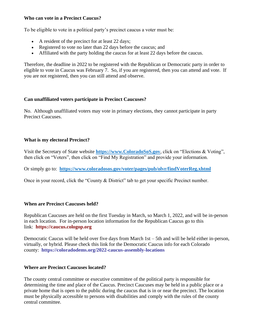#### **Who can vote in a Precinct Caucus?**

To be eligible to vote in a political party's precinct caucus a voter must be:

- A resident of the precinct for at least 22 days;
- Registered to vote no later than 22 days before the caucus; and
- Affiliated with the party holding the caucus for at least 22 days before the caucus.

Therefore, the deadline in 2022 to be registered with the Republican or Democratic party in order to eligible to vote in Caucus was February 7. So, if you are registered, then you can attend and vote. If you are not registered, then you can still attend and observe.

#### **Can unaffiliated voters participate in Precinct Caucuses?**

No. Although unaffiliated voters may vote in primary elections, they cannot participate in party Precinct Caucuses.

### **What is my electoral Precinct?**

Visit the Secretary of State website **[https://www.ColoradoSoS.gov](https://www.coloradosos.gov/)**, click on "Elections & Voting", then click on "Voters", then click on "Find My Registration" and provide your information.

Or simply go to: **<https://www.coloradosos.gov/voter/pages/pub/olvr/findVoterReg.xhtml>**

Once in your record, click the "County & District" tab to get your specific Precinct number.

#### **When are Precinct Caucuses held?**

Republican Caucuses are held on the first Tuesday in March, so March 1, 2022, and will be in-person in each location. For in-person location information for the Republican Caucus go to this link: **[https://caucus.cologop.org](https://caucus.cologop.org/)**

Democratic Caucus will be held over five days from March 1st – 5th and will be held either in-person, virtually, or hybrid. Please check this link for the Democratic Caucus info for each Colorado county: **<https://coloradodems.org/2022-caucus-assembly-locations>**

#### **Where are Precinct Caucuses located?**

The county central committee or executive committee of the political party is responsible for determining the time and place of the Caucus. Precinct Caucuses may be held in a public place or a private home that is open to the public during the caucus that is in or near the precinct. The location must be physically accessible to persons with disabilities and comply with the rules of the county central committee.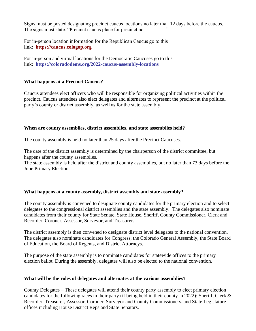Signs must be posted designating precinct caucus locations no later than 12 days before the caucus. The signs must state: "Precinct caucus place for precinct no.  $\cdot$ "

For in-person location information for the Republican Caucus go to this link: **[https://caucus.cologop.org](https://caucus.cologop.org/)**

For in-person and virtual locations for the Democratic Caucuses go to this link: **<https://coloradodems.org/2022-caucus-assembly-locations>**

#### **What happens at a Precinct Caucus?**

Caucus attendees elect officers who will be responsible for organizing political activities within the precinct. Caucus attendees also elect delegates and alternates to represent the precinct at the political party's county or district assembly, as well as for the state assembly.

#### **When are county assemblies, district assemblies, and state assemblies held?**

The county assembly is held no later than 25 days after the Precinct Caucuses.

The date of the district assembly is determined by the chairperson of the district committee, but happens after the county assemblies.

The state assembly is held after the district and county assemblies, but no later than 73 days before the June Primary Election.

#### **What happens at a county assembly, district assembly and state assembly?**

The county assembly is convened to designate county candidates for the primary election and to select delegates to the congressional district assemblies and the state assembly. The delegates also nominate candidates from their county for State Senate, State House, Sheriff, County Commissioner, Clerk and Recorder, Coroner, Assessor, Surveyor, and Treasurer.

The district assembly is then convened to designate district level delegates to the national convention. The delegates also nominate candidates for Congress, the Colorado General Assembly, the State Board of Education, the Board of Regents, and District Attorneys.

The purpose of the state assembly is to nominate candidates for statewide offices to the primary election ballot. During the assembly, delegates will also be elected to the national convention.

#### **What will be the roles of delegates and alternates at the various assemblies?**

County Delegates – These delegates will attend their county party assembly to elect primary election candidates for the following races in their party (if being held in their county in 2022): Sheriff, Clerk & Recorder, Treasurer, Assessor, Coroner, Surveyor and County Commissioners, and State Legislature offices including House District Reps and State Senators.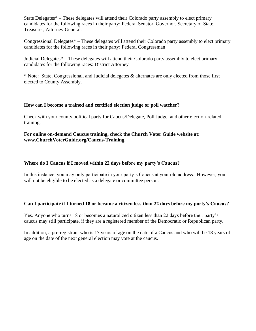State Delegates\* – These delegates will attend their Colorado party assembly to elect primary candidates for the following races in their party: Federal Senator, Governor, Secretary of State, Treasurer, Attorney General.

Congressional Delegates\* – These delegates will attend their Colorado party assembly to elect primary candidates for the following races in their party: Federal Congressman

Judicial Delegates\* – These delegates will attend their Colorado party assembly to elect primary candidates for the following races: District Attorney

\* Note: State, Congressional, and Judicial delegates & alternates are only elected from those first elected to County Assembly.

#### **How can I become a trained and certified election judge or poll watcher?**

Check with your county political party for Caucus/Delegate, Poll Judge, and other election-related training.

**For online on-demand Caucus training, check the Church Voter Guide website at: www.ChurchVoterGuide.org/Caucus-Training**

#### **Where do I Caucus if I moved within 22 days before my party's Caucus?**

In this instance, you may only participate in your party's Caucus at your old address. However, you will not be eligible to be elected as a delegate or committee person.

#### **Can I participate if I turned 18 or became a citizen less than 22 days before my party's Caucus?**

Yes. Anyone who turns 18 or becomes a naturalized citizen less than 22 days before their party's caucus may still participate, if they are a registered member of the Democratic or Republican party.

In addition, a pre-registrant who is 17 years of age on the date of a Caucus and who will be 18 years of age on the date of the next general election may vote at the caucus.